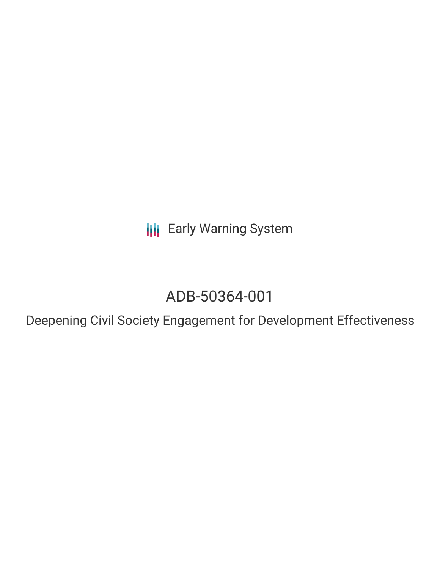**III** Early Warning System

## ADB-50364-001

Deepening Civil Society Engagement for Development Effectiveness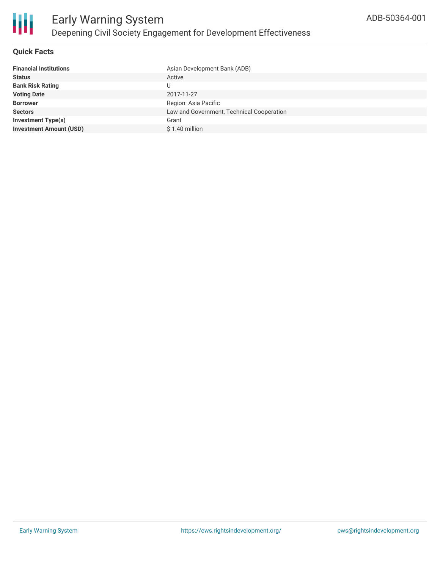

#### **Quick Facts**

| Asian Development Bank (ADB)              |
|-------------------------------------------|
| Active                                    |
|                                           |
| 2017-11-27                                |
| Region: Asia Pacific                      |
| Law and Government, Technical Cooperation |
| Grant                                     |
| $$1.40$ million                           |
|                                           |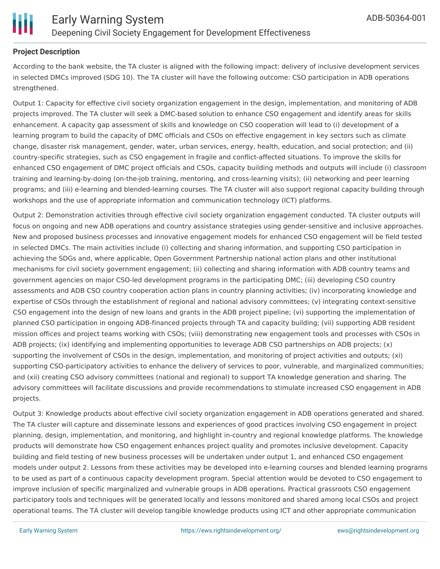

#### **Project Description**

According to the bank website, the TA cluster is aligned with the following impact: delivery of inclusive development services in selected DMCs improved (SDG 10). The TA cluster will have the following outcome: CSO participation in ADB operations strengthened.

Output 1: Capacity for effective civil society organization engagement in the design, implementation, and monitoring of ADB projects improved. The TA cluster will seek a DMC-based solution to enhance CSO engagement and identify areas for skills enhancement. A capacity gap assessment of skills and knowledge on CSO cooperation will lead to (i) development of a learning program to build the capacity of DMC officials and CSOs on effective engagement in key sectors such as climate change, disaster risk management, gender, water, urban services, energy, health, education, and social protection; and (ii) country-specific strategies, such as CSO engagement in fragile and conflict-affected situations. To improve the skills for enhanced CSO engagement of DMC project officials and CSOs, capacity building methods and outputs will include (i) classroom training and learning-by-doing (on-the-job training, mentoring, and cross-learning visits); (ii) networking and peer learning programs; and (iii) e-learning and blended-learning courses. The TA cluster will also support regional capacity building through workshops and the use of appropriate information and communication technology (ICT) platforms.

Output 2: Demonstration activities through effective civil society organization engagement conducted. TA cluster outputs will focus on ongoing and new ADB operations and country assistance strategies using gender-sensitive and inclusive approaches. New and proposed business processes and innovative engagement models for enhanced CSO engagement will be field tested in selected DMCs. The main activities include (i) collecting and sharing information, and supporting CSO participation in achieving the SDGs and, where applicable, Open Government Partnership national action plans and other institutional mechanisms for civil society government engagement; (ii) collecting and sharing information with ADB country teams and government agencies on major CSO-led development programs in the participating DMC; (iii) developing CSO country assessments and ADB CSO country cooperation action plans in country planning activities; (iv) incorporating knowledge and expertise of CSOs through the establishment of regional and national advisory committees; (v) integrating context-sensitive CSO engagement into the design of new loans and grants in the ADB project pipeline; (vi) supporting the implementation of planned CSO participation in ongoing ADB-financed projects through TA and capacity building; (vii) supporting ADB resident mission offices and project teams working with CSOs; (viii) demonstrating new engagement tools and processes with CSOs in ADB projects; (ix) identifying and implementing opportunities to leverage ADB CSO partnerships on ADB projects; (x) supporting the involvement of CSOs in the design, implementation, and monitoring of project activities and outputs; (xi) supporting CSO-participatory activities to enhance the delivery of services to poor, vulnerable, and marginalized communities; and (xii) creating CSO advisory committees (national and regional) to support TA knowledge generation and sharing. The advisory committees will facilitate discussions and provide recommendations to stimulate increased CSO engagement in ADB projects.

Output 3: Knowledge products about effective civil society organization engagement in ADB operations generated and shared. The TA cluster will capture and disseminate lessons and experiences of good practices involving CSO engagement in project planning, design, implementation, and monitoring, and highlight in-country and regional knowledge platforms. The knowledge products will demonstrate how CSO engagement enhances project quality and promotes inclusive development. Capacity building and field testing of new business processes will be undertaken under output 1, and enhanced CSO engagement models under output 2. Lessons from these activities may be developed into e-learning courses and blended learning programs to be used as part of a continuous capacity development program. Special attention would be devoted to CSO engagement to improve inclusion of specific marginalized and vulnerable groups in ADB operations. Practical grassroots CSO engagement participatory tools and techniques will be generated locally and lessons monitored and shared among local CSOs and project operational teams. The TA cluster will develop tangible knowledge products using ICT and other appropriate communication

to be used materials materials materials may be used for knowledge dissemination where internet access to local communities is not knowledge dissemination where internet access to local communities is not knowledge access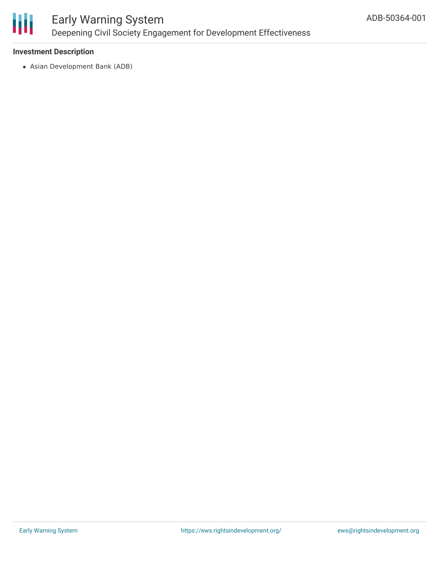

### Early Warning System Deepening Civil Society Engagement for Development Effectiveness

#### **Investment Description**

Asian Development Bank (ADB)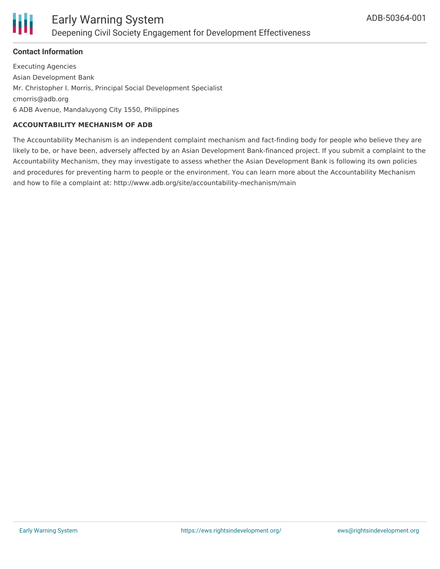

#### **Contact Information**

Executing Agencies Asian Development Bank Mr. Christopher I. Morris, Principal Social Development Specialist cmorris@adb.org 6 ADB Avenue, Mandaluyong City 1550, Philippines

#### **ACCOUNTABILITY MECHANISM OF ADB**

The Accountability Mechanism is an independent complaint mechanism and fact-finding body for people who believe they are likely to be, or have been, adversely affected by an Asian Development Bank-financed project. If you submit a complaint to the Accountability Mechanism, they may investigate to assess whether the Asian Development Bank is following its own policies and procedures for preventing harm to people or the environment. You can learn more about the Accountability Mechanism and how to file a complaint at: http://www.adb.org/site/accountability-mechanism/main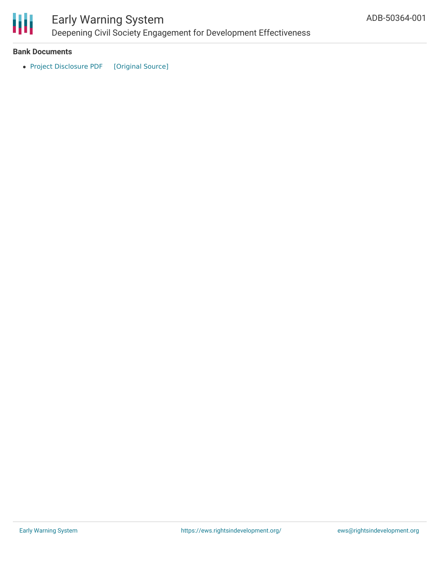

# Early Warning System

Deepening Civil Society Engagement for Development Effectiveness

#### **Bank Documents**

• Project [Disclosure](https://ewsdata.rightsindevelopment.org/files/documents/01/ADB-50364-001.pdf) PDF [\[Original](https://www.adb.org/printpdf/projects/50364-001/main) Source]